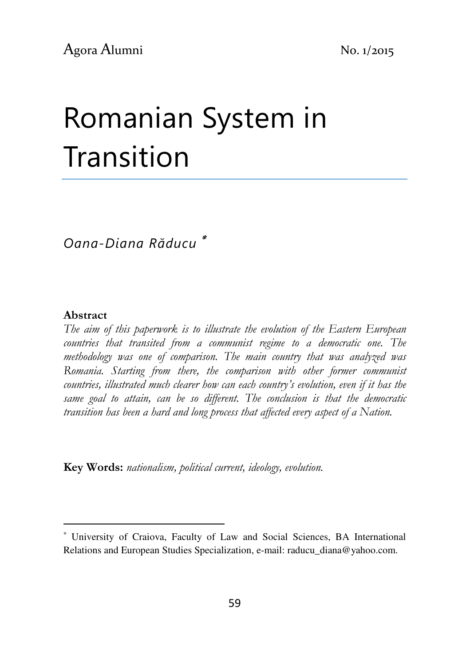# Romanian System in Transition

Oana-Diana Răducu <sup>∗</sup>

#### Abstract

l

The aim of this paperwork is to illustrate the evolution of the Eastern European countries that transited from a communist regime to a democratic one. The methodology was one of comparison. The main country that was analyzed was Romania. Starting from there, the comparison with other former communist countries, illustrated much clearer how can each country's evolution, even if it has the same goal to attain, can be so different. The conclusion is that the democratic transition has been a hard and long process that affected every aspect of a Nation.

Key Words: nationalism, political current, ideology, evolution.

<sup>∗</sup> University of Craiova, Faculty of Law and Social Sciences, BA International Relations and European Studies Specialization, e-mail: raducu\_diana@yahoo.com.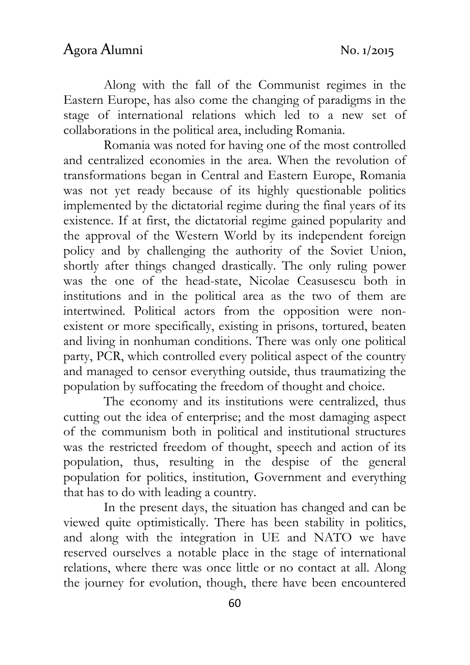Along with the fall of the Communist regimes in the Eastern Europe, has also come the changing of paradigms in the stage of international relations which led to a new set of collaborations in the political area, including Romania.

Romania was noted for having one of the most controlled and centralized economies in the area. When the revolution of transformations began in Central and Eastern Europe, Romania was not yet ready because of its highly questionable politics implemented by the dictatorial regime during the final years of its existence. If at first, the dictatorial regime gained popularity and the approval of the Western World by its independent foreign policy and by challenging the authority of the Soviet Union, shortly after things changed drastically. The only ruling power was the one of the head-state, Nicolae Ceasusescu both in institutions and in the political area as the two of them are intertwined. Political actors from the opposition were nonexistent or more specifically, existing in prisons, tortured, beaten and living in nonhuman conditions. There was only one political party, PCR, which controlled every political aspect of the country and managed to censor everything outside, thus traumatizing the population by suffocating the freedom of thought and choice.

The economy and its institutions were centralized, thus cutting out the idea of enterprise; and the most damaging aspect of the communism both in political and institutional structures was the restricted freedom of thought, speech and action of its population, thus, resulting in the despise of the general population for politics, institution, Government and everything that has to do with leading a country.

In the present days, the situation has changed and can be viewed quite optimistically. There has been stability in politics, and along with the integration in UE and NATO we have reserved ourselves a notable place in the stage of international relations, where there was once little or no contact at all. Along the journey for evolution, though, there have been encountered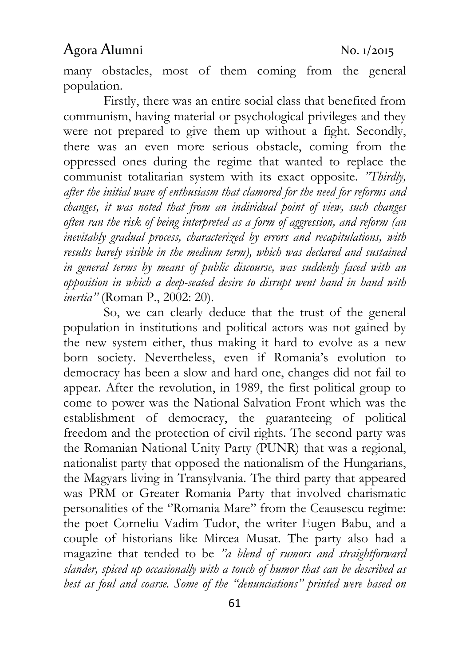many obstacles, most of them coming from the general population.

Firstly, there was an entire social class that benefited from communism, having material or psychological privileges and they were not prepared to give them up without a fight. Secondly, there was an even more serious obstacle, coming from the oppressed ones during the regime that wanted to replace the communist totalitarian system with its exact opposite. "Thirdly, after the initial wave of enthusiasm that clamored for the need for reforms and changes, it was noted that from an individual point of view, such changes often ran the risk of being interpreted as a form of aggression, and reform (an inevitably gradual process, characterized by errors and recapitulations, with results barely visible in the medium term), which was declared and sustained in general terms by means of public discourse, was suddenly faced with an opposition in which a deep-seated desire to disrupt went hand in hand with inertia" (Roman P., 2002: 20).

So, we can clearly deduce that the trust of the general population in institutions and political actors was not gained by the new system either, thus making it hard to evolve as a new born society. Nevertheless, even if Romania's evolution to democracy has been a slow and hard one, changes did not fail to appear. After the revolution, in 1989, the first political group to come to power was the National Salvation Front which was the establishment of democracy, the guaranteeing of political freedom and the protection of civil rights. The second party was the Romanian National Unity Party (PUNR) that was a regional, nationalist party that opposed the nationalism of the Hungarians, the Magyars living in Transylvania. The third party that appeared was PRM or Greater Romania Party that involved charismatic personalities of the "Romania Mare" from the Ceausescu regime: the poet Corneliu Vadim Tudor, the writer Eugen Babu, and a couple of historians like Mircea Musat. The party also had a magazine that tended to be "a blend of rumors and straightforward slander, spiced up occasionally with a touch of humor that can be described as best as foul and coarse. Some of the "denunciations" printed were based on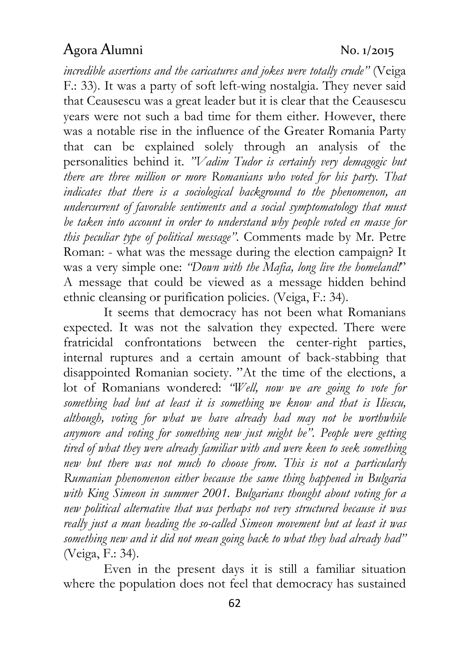incredible assertions and the caricatures and jokes were totally crude" (Veiga F.: 33). It was a party of soft left-wing nostalgia. They never said that Ceausescu was a great leader but it is clear that the Ceausescu years were not such a bad time for them either. However, there was a notable rise in the influence of the Greater Romania Party that can be explained solely through an analysis of the personalities behind it. "Vadim Tudor is certainly very demagogic but there are three million or more Romanians who voted for his party. That indicates that there is a sociological background to the phenomenon, an undercurrent of favorable sentiments and a social symptomatology that must be taken into account in order to understand why people voted en masse for this peculiar type of political message". Comments made by Mr. Petre Roman: - what was the message during the election campaign? It was a very simple one: "Down with the Mafia, long live the homeland!" A message that could be viewed as a message hidden behind ethnic cleansing or purification policies. (Veiga, F.: 34).

It seems that democracy has not been what Romanians expected. It was not the salvation they expected. There were fratricidal confrontations between the center-right parties, internal ruptures and a certain amount of back-stabbing that disappointed Romanian society. "At the time of the elections, a lot of Romanians wondered: "Well, now we are going to vote for something bad but at least it is something we know and that is Iliescu, although, voting for what we have already had may not be worthwhile anymore and voting for something new just might be". People were getting tired of what they were already familiar with and were keen to seek something new but there was not much to choose from. This is not a particularly Rumanian phenomenon either because the same thing happened in Bulgaria with King Simeon in summer 2001. Bulgarians thought about voting for a new political alternative that was perhaps not very structured because it was really just a man heading the so-called Simeon movement but at least it was something new and it did not mean going back to what they had already had" (Veiga, F.: 34).

Even in the present days it is still a familiar situation where the population does not feel that democracy has sustained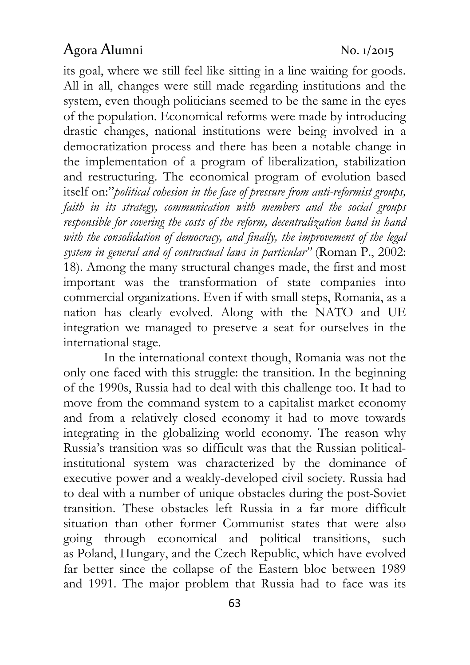its goal, where we still feel like sitting in a line waiting for goods. All in all, changes were still made regarding institutions and the system, even though politicians seemed to be the same in the eyes of the population. Economical reforms were made by introducing drastic changes, national institutions were being involved in a democratization process and there has been a notable change in the implementation of a program of liberalization, stabilization and restructuring. The economical program of evolution based itself on:"political cohesion in the face of pressure from anti-reformist groups, faith in its strategy, communication with members and the social groups responsible for covering the costs of the reform, decentralization hand in hand with the consolidation of democracy, and finally, the improvement of the legal system in general and of contractual laws in particular" (Roman P., 2002: 18). Among the many structural changes made, the first and most important was the transformation of state companies into commercial organizations. Even if with small steps, Romania, as a nation has clearly evolved. Along with the NATO and UE integration we managed to preserve a seat for ourselves in the international stage.

In the international context though, Romania was not the only one faced with this struggle: the transition. In the beginning of the 1990s, Russia had to deal with this challenge too. It had to move from the command system to a capitalist market economy and from a relatively closed economy it had to move towards integrating in the globalizing world economy. The reason why Russia's transition was so difficult was that the Russian politicalinstitutional system was characterized by the dominance of executive power and a weakly-developed civil society. Russia had to deal with a number of unique obstacles during the post-Soviet transition. These obstacles left Russia in a far more difficult situation than other former Communist states that were also going through economical and political transitions, such as Poland, Hungary, and the Czech Republic, which have evolved far better since the collapse of the Eastern bloc between 1989 and 1991. The major problem that Russia had to face was its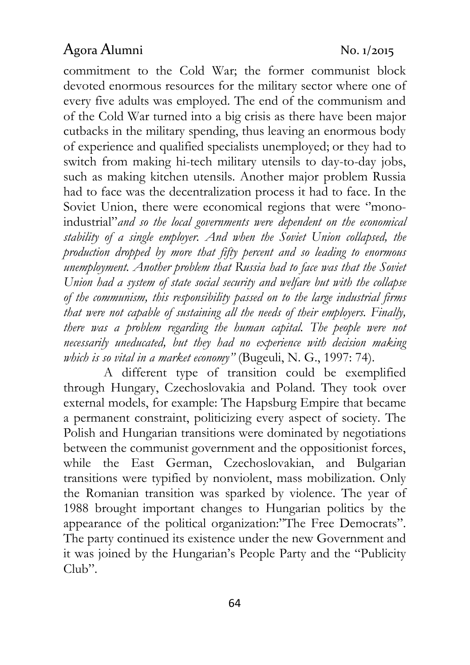commitment to the Cold War; the former communist block devoted enormous resources for the military sector where one of every five adults was employed. The end of the communism and of the Cold War turned into a big crisis as there have been major cutbacks in the military spending, thus leaving an enormous body of experience and qualified specialists unemployed; or they had to switch from making hi-tech military utensils to day-to-day jobs, such as making kitchen utensils. Another major problem Russia had to face was the decentralization process it had to face. In the Soviet Union, there were economical regions that were "monoindustrial"and so the local governments were dependent on the economical stability of a single employer. And when the Soviet Union collapsed, the production dropped by more that fifty percent and so leading to enormous unemployment. Another problem that Russia had to face was that the Soviet Union had a system of state social security and welfare but with the collapse of the communism, this responsibility passed on to the large industrial firms that were not capable of sustaining all the needs of their employers. Finally, there was a problem regarding the human capital. The people were not necessarily uneducated, but they had no experience with decision making which is so vital in a market economy" (Bugeuli, N. G., 1997: 74).

A different type of transition could be exemplified through Hungary, Czechoslovakia and Poland. They took over external models, for example: The Hapsburg Empire that became a permanent constraint, politicizing every aspect of society. The Polish and Hungarian transitions were dominated by negotiations between the communist government and the oppositionist forces, while the East German, Czechoslovakian, and Bulgarian transitions were typified by nonviolent, mass mobilization. Only the Romanian transition was sparked by violence. The year of 1988 brought important changes to Hungarian politics by the appearance of the political organization:"The Free Democrats". The party continued its existence under the new Government and it was joined by the Hungarian's People Party and the "Publicity Club".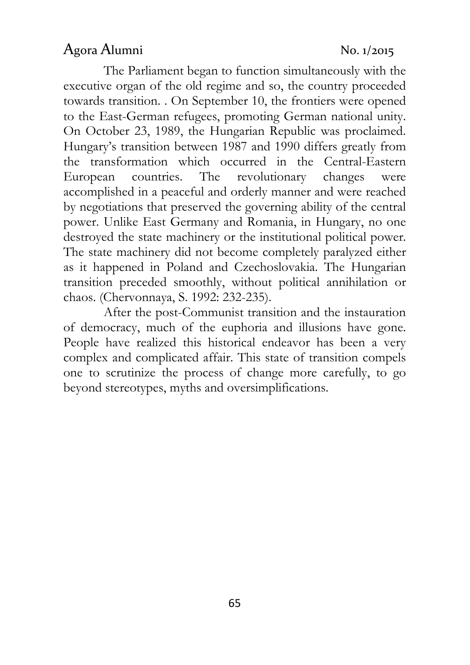The Parliament began to function simultaneously with the executive organ of the old regime and so, the country proceeded towards transition. . On September 10, the frontiers were opened to the East-German refugees, promoting German national unity. On October 23, 1989, the Hungarian Republic was proclaimed. Hungary's transition between 1987 and 1990 differs greatly from the transformation which occurred in the Central-Eastern European countries. The revolutionary changes were accomplished in a peaceful and orderly manner and were reached by negotiations that preserved the governing ability of the central power. Unlike East Germany and Romania, in Hungary, no one destroyed the state machinery or the institutional political power. The state machinery did not become completely paralyzed either as it happened in Poland and Czechoslovakia. The Hungarian transition preceded smoothly, without political annihilation or chaos. (Chervonnaya, S. 1992: 232-235).

After the post-Communist transition and the instauration of democracy, much of the euphoria and illusions have gone. People have realized this historical endeavor has been a very complex and complicated affair. This state of transition compels one to scrutinize the process of change more carefully, to go beyond stereotypes, myths and oversimplifications.